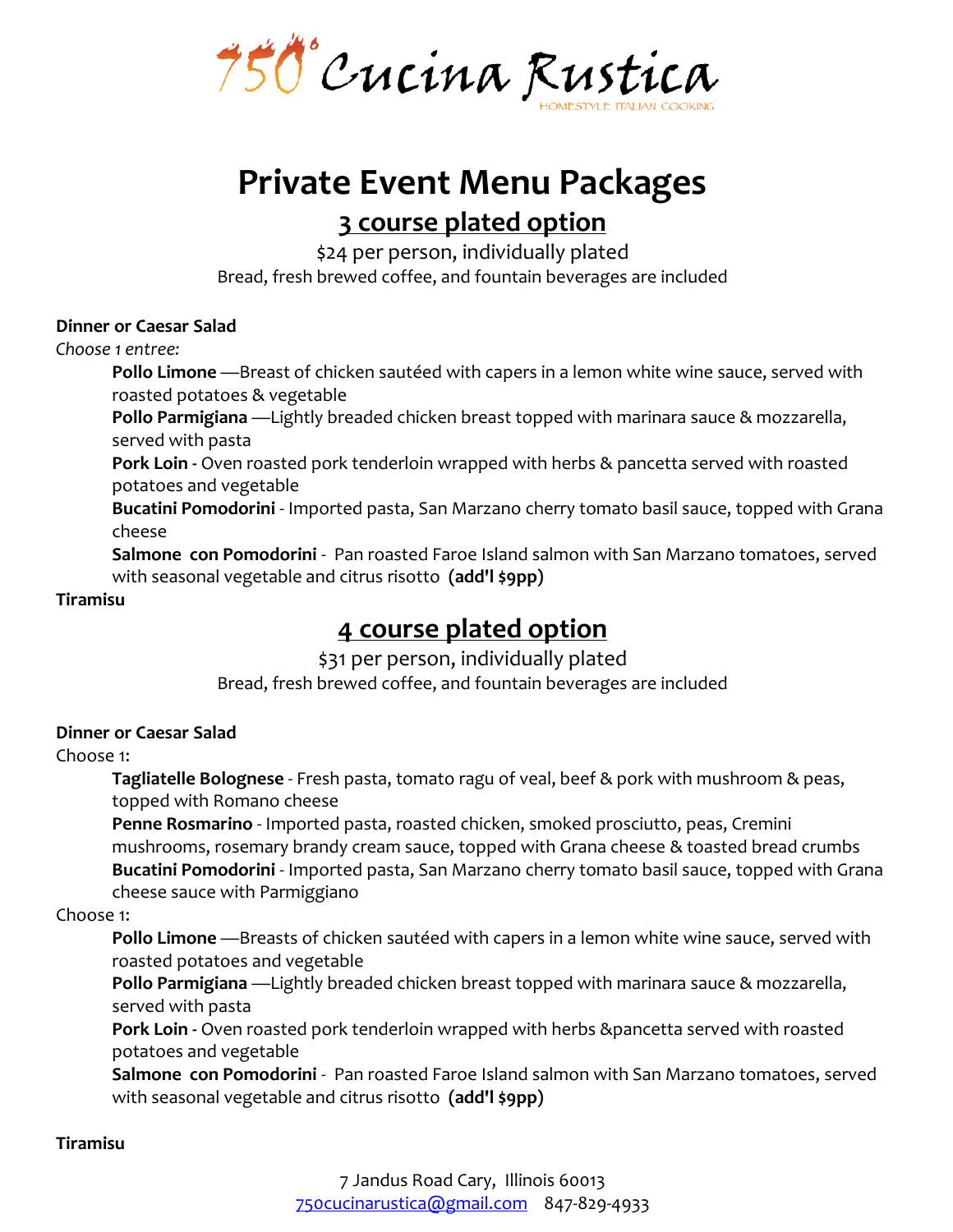750°Cucina Rustica

# **Private Event Menu Packages 3 course plated option**

\$24 per person, individually plated

Bread, fresh brewed coffee, and fountain beverages are included

#### **Dinner or Caesar Salad**

*Choose 1 entree:*

**Pollo Limone** —Breast of chicken sautéed with capers in a lemon white wine sauce, served with roasted potatoes & vegetable

**Pollo Parmigiana** —Lightly breaded chicken breast topped with marinara sauce & mozzarella, served with pasta

**Pork Loin -** Oven roasted pork tenderloin wrapped with herbs & pancetta served with roasted potatoes and vegetable

**Bucatini Pomodorini** - Imported pasta, San Marzano cherry tomato basil sauce, topped with Grana cheese

**Salmone con Pomodorini** - Pan roasted Faroe Island salmon with San Marzano tomatoes, served with seasonal vegetable and citrus risotto **(add'l \$9pp)**

#### **Tiramisu**

## **4 course plated option**

\$31 per person, individually plated Bread, fresh brewed coffee, and fountain beverages are included

#### **Dinner or Caesar Salad**

#### Choose 1:

**Tagliatelle Bolognese** - Fresh pasta, tomato ragu of veal, beef & pork with mushroom & peas, topped with Romano cheese

**Penne Rosmarino** - Imported pasta, roasted chicken, smoked prosciutto, peas, Cremini mushrooms, rosemary brandy cream sauce, topped with Grana cheese & toasted bread crumbs **Bucatini Pomodorini** - Imported pasta, San Marzano cherry tomato basil sauce, topped with Grana cheese sauce with Parmiggiano

#### Choose 1:

**Pollo Limone** —Breasts of chicken sautéed with capers in a lemon white wine sauce, served with roasted potatoes and vegetable

**Pollo Parmigiana** —Lightly breaded chicken breast topped with marinara sauce & mozzarella, served with pasta

**Pork Loin -** Oven roasted pork tenderloin wrapped with herbs &pancetta served with roasted potatoes and vegetable

**Salmone con Pomodorini** - Pan roasted Faroe Island salmon with San Marzano tomatoes, served with seasonal vegetable and citrus risotto **(add'l \$9pp)**

#### **Tiramisu**